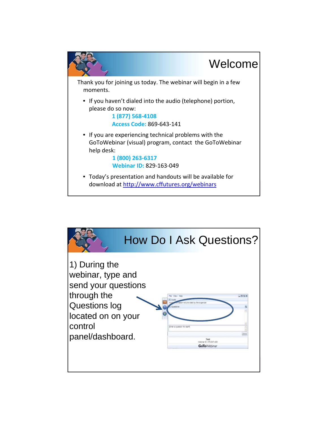

|                                                                                                                                                |                                                                                                    | <b>How Do I Ask Questions?</b> |
|------------------------------------------------------------------------------------------------------------------------------------------------|----------------------------------------------------------------------------------------------------|--------------------------------|
| 1) During the<br>webinar, type and<br>send your questions<br>through the<br>Questions log<br>located on on your<br>control<br>panel/dashboard. | provided by the organize<br><b>Har a suestan for staff</b><br>enner D. 476-647-400<br>GoToWinhinai |                                |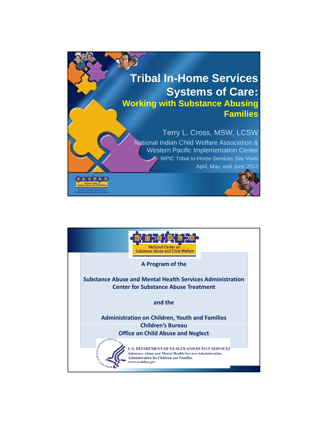

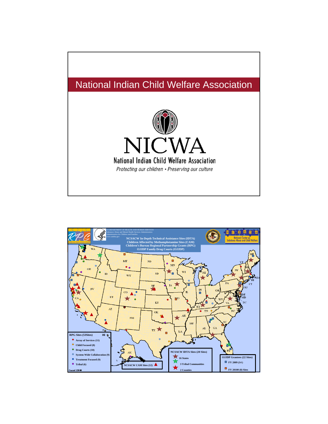

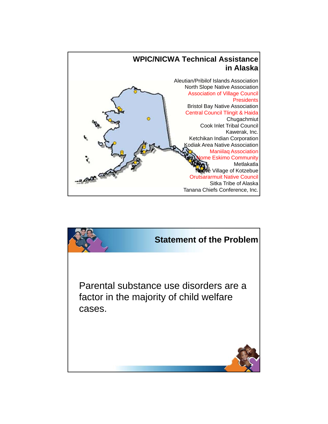

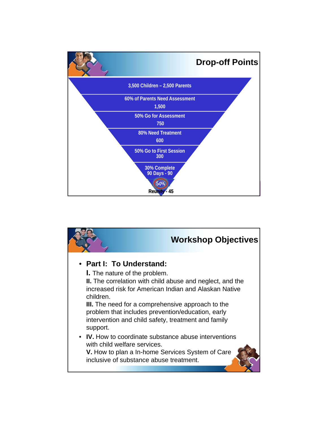

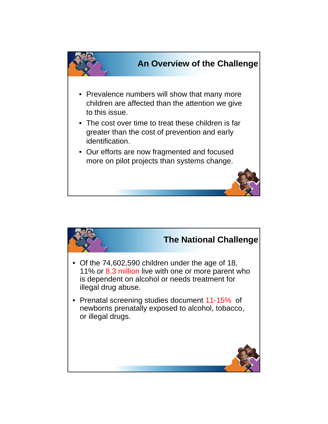

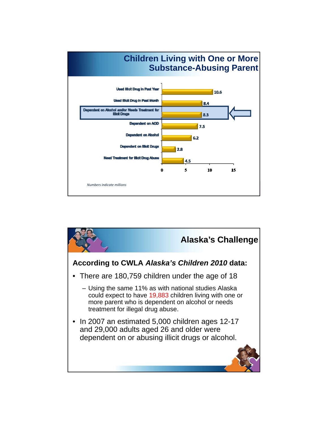

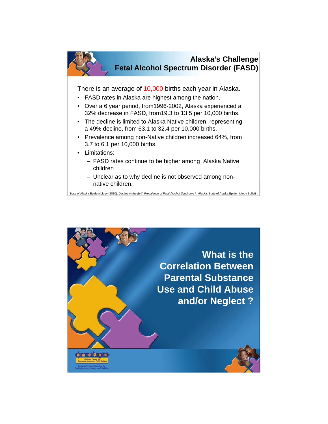

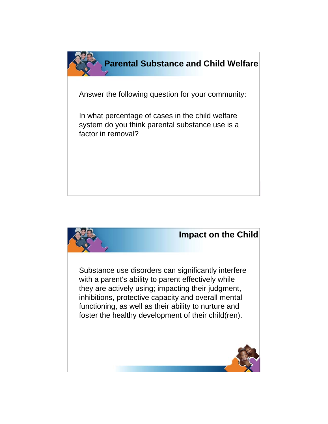

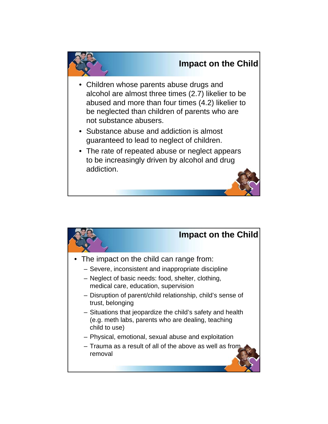

- Children whose parents abuse drugs and alcohol are almost three times (2.7) likelier to be abused and more than four times (4.2) likelier to be neglected than children of parents who are not substance abusers.
- Substance abuse and addiction is almost guaranteed to lead to neglect of children.
- The rate of repeated abuse or neglect appears to be increasingly driven by alcohol and drug addiction.

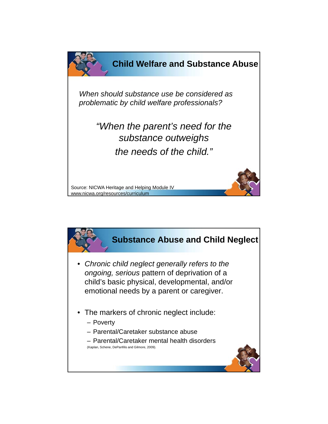

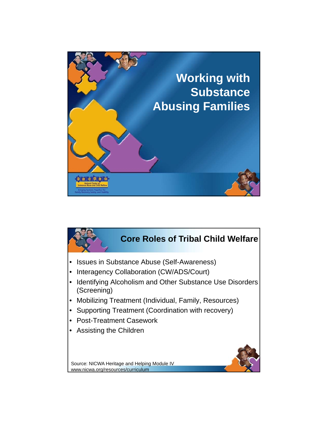

## **Core Roles of Tribal Child Welfare**

- Issues in Substance Abuse (Self-Awareness)
- Interagency Collaboration (CW/ADS/Court)
- Identifying Alcoholism and Other Substance Use Disorders (Screening)
- Mobilizing Treatment (Individual, Family, Resources)
- Supporting Treatment (Coordination with recovery)
- Post-Treatment Casework
- Assisting the Children



Source: NICWA Heritage and Helping Module IV www.nicwa.org/resources/curriculum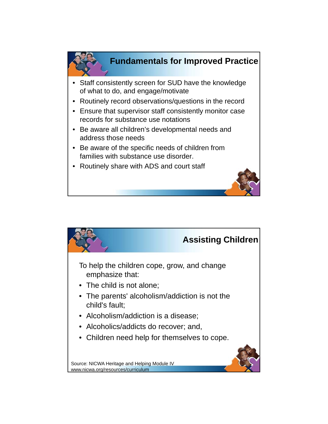

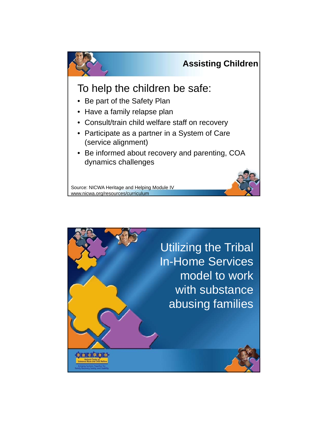

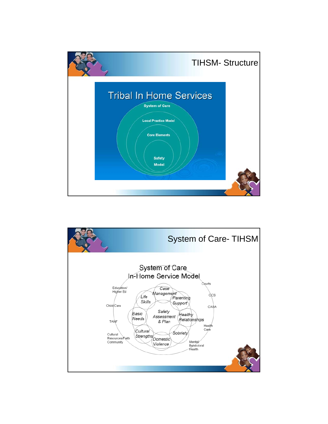

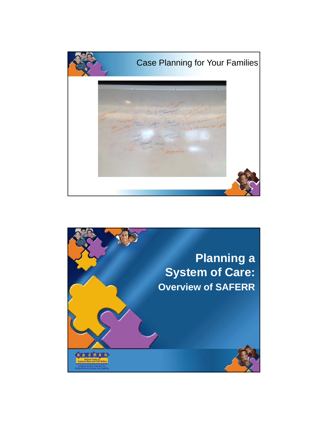

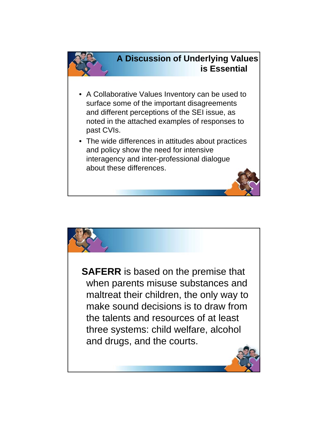

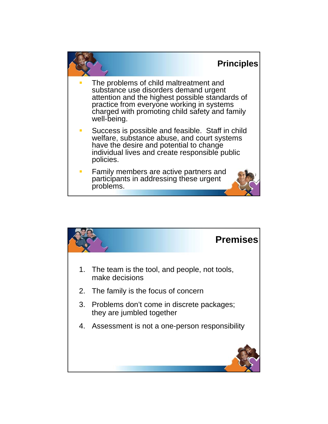

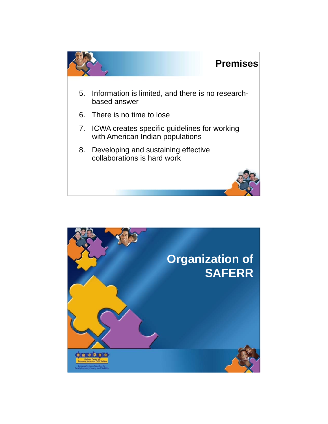

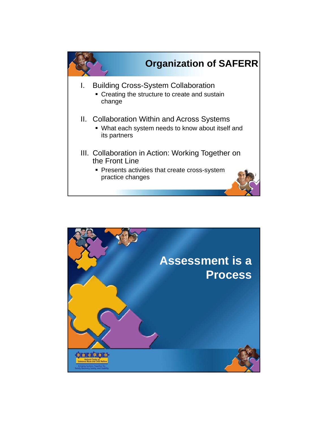

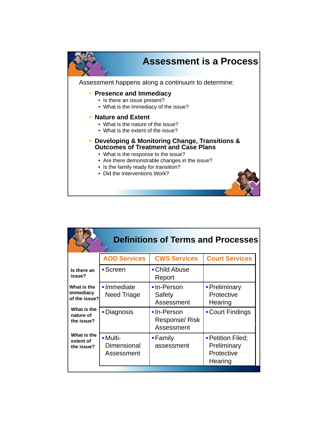

|                                           |                                       | <b>Definitions of Terms and Processes</b> |                                                           |
|-------------------------------------------|---------------------------------------|-------------------------------------------|-----------------------------------------------------------|
|                                           | <b>AOD Services</b>                   | <b>CWS Services</b>                       | <b>Court Services</b>                                     |
| Is there an<br>issue?                     | $\blacksquare$ Screen                 | • Child Abuse<br>Report                   |                                                           |
| What is the<br>immediacy<br>of the issue? | • Immediate<br><b>Need Triage</b>     | •In-Person<br>Safety<br>Assessment        | • Preliminary<br>Protective<br>Hearing                    |
| What is the<br>nature of<br>the issue?    | <b>-</b> Diagnosis                    | •In-Person<br>Response/Risk<br>Assessment | • Court Findings                                          |
| What is the<br>extent of<br>the issue?    | - Multi-<br>Dimensional<br>Assessment | • Family<br>assessment                    | - Petition Filed;<br>Preliminary<br>Protective<br>Hearing |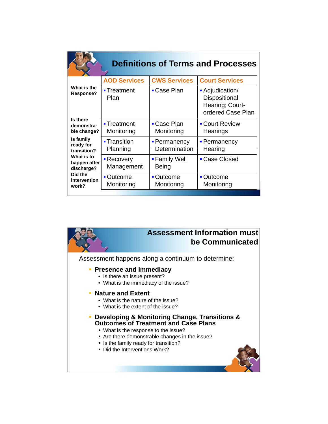|                                          |                                        |                               | <b>Definitions of Terms and Processes</b>                                |
|------------------------------------------|----------------------------------------|-------------------------------|--------------------------------------------------------------------------|
| What is the<br>Response?                 | <b>AOD Services</b>                    | <b>CWS Services</b>           | <b>Court Services</b>                                                    |
|                                          | ■ Treatment<br>Plan                    | • Case Plan                   | • Adjudication/<br>Dispositional<br>Hearing; Court-<br>ordered Case Plan |
| Is there<br>demonstra-<br>ble change?    | $\blacksquare$ Treatment<br>Monitoring | • Case Plan<br>Monitoring     | • Court Review<br>Hearings                                               |
| Is family<br>ready for<br>transition?    | ■ Transition<br>Planning               | • Permanency<br>Determination | - Permanency<br>Hearing                                                  |
| What is to<br>happen after<br>discharge? | • Recovery<br>Management               | ■ Family Well<br>Being        | • Case Closed                                                            |
| Did the<br>intervention<br>work?         | • Outcome<br>Monitoring                | ■ Outcome<br>Monitoring       | <b>- Outcome</b><br>Monitoring                                           |

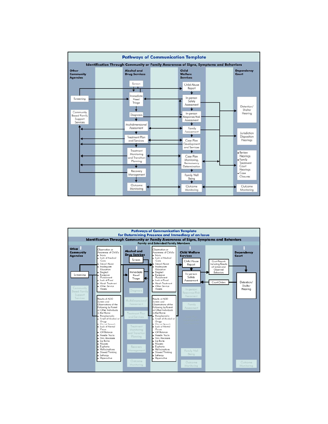

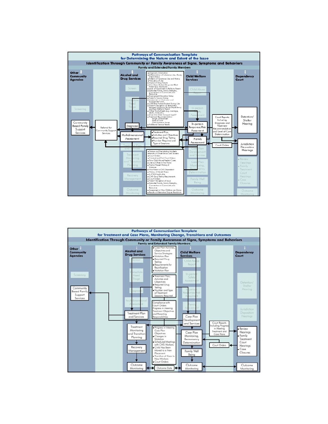

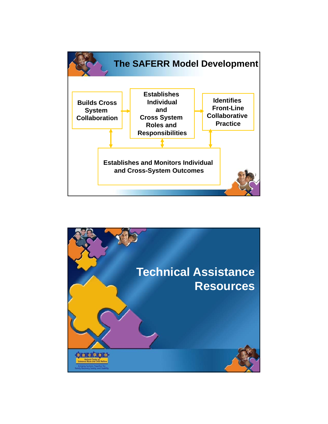

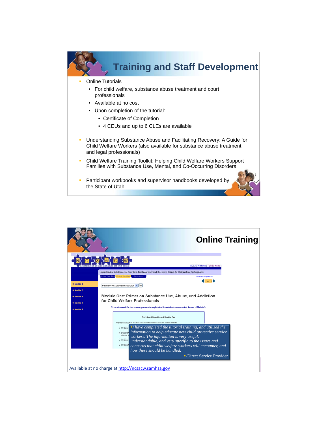

- Understanding Substance Abuse and Facilitating Recovery: A Guide for Child Welfare Workers (also available for substance abuse treatment and legal professionals)
- Child Welfare Training Toolkit: Helping Child Welfare Workers Support Families with Substance Use, Mental, and Co-Occurring Disorders
- **Participant workbooks and supervisor handbooks developed by** the State of Utah

| <b>Online Training</b>                                                                                                                                                                                                                                                                                        |
|---------------------------------------------------------------------------------------------------------------------------------------------------------------------------------------------------------------------------------------------------------------------------------------------------------------|
| NCSACW Home   Tutorial Home  <br>Understanding Substance Use Disorders, Treatment and Family Recovery: A Guide for Child Welfare Professionals                                                                                                                                                                |
| <b>Before You Start Course Modules</b><br><b>Resources</b><br>printer friendly version<br>1 of 17<br>· Module 1<br>Pathways to Abuse and Addiction v Go<br>· Module 2                                                                                                                                         |
| Module One: Primer on Substance Use, Abuse, and Addiction<br>· Module 3<br>for Child Welfare Professionals<br>· Module 4<br>To receive credit for this course, you must complete the Knowledge Assessment at the end of Module 5.<br>· Module 5                                                               |
| Participant Objectives of Module One<br>After reviewing this module, child welfare professionals will be able to<br>$\blacksquare$ Unders $\blacksquare$ I have completed the tutorial training, and utilized the                                                                                             |
| <b>• Describing information to help educate new child protective service</b><br>abuse,<br>workers. The information is very useful,<br>· Unders-<br>understandable, and very specific to the issues and<br>· Unders<br>concerns that child welfare workers will encounter, and<br>how these should be handled. |
| -Direct Service Provider<br>Available at no charge at http://ncsacw.samhsa.gov                                                                                                                                                                                                                                |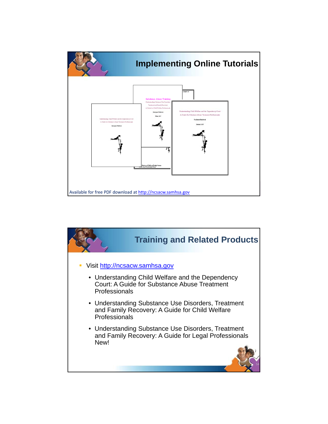

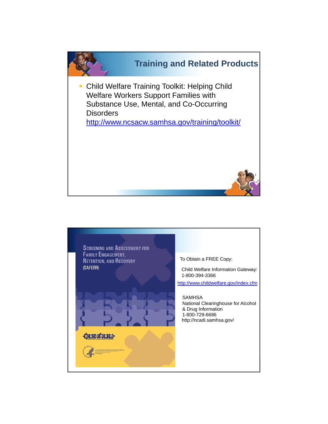

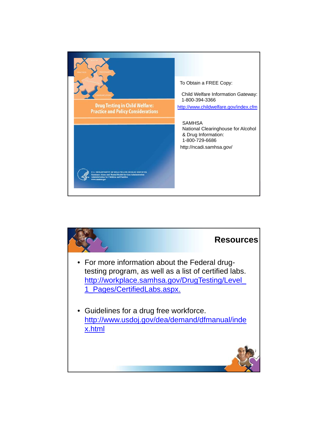